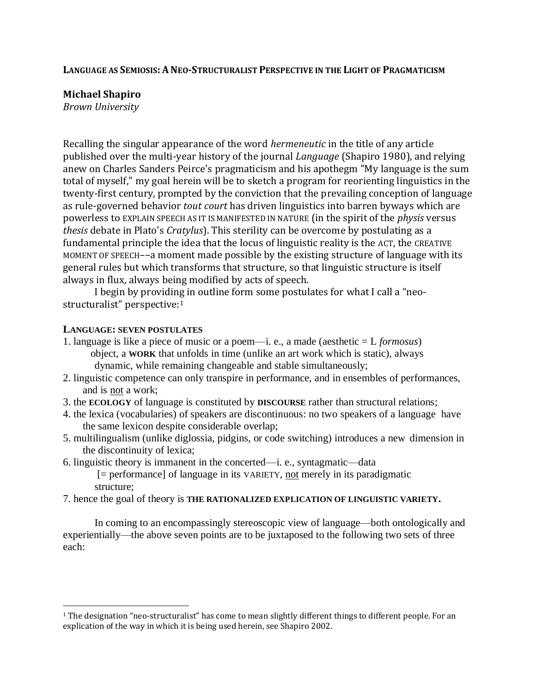#### **LANGUAGE AS SEMIOSIS:ANEO-STRUCTURALIST PERSPECTIVE IN THE LIGHT OF PRAGMATICISM**

## **Michael Shapiro**

*Brown University*

Recalling the singular appearance of the word *hermeneutic* in the title of any article published over the multi-year history of the journal *Language* (Shapiro 1980), and relying anew on Charles Sanders Peirce's pragmaticism and his apothegm "My language is the sum total of myself," my goal herein will be to sketch a program for reorienting linguistics in the twenty-first century, prompted by the conviction that the prevailing conception of language as rule-governed behavior *tout court* has driven linguistics into barren byways which are powerless to EXPLAIN SPEECH AS IT IS MANIFESTED IN NATURE (in the spirit of the *physis* versus *thesis* debate in Plato's *Cratylus*). This sterility can be overcome by postulating as a fundamental principle the idea that the locus of linguistic reality is the ACT, the CREATIVE MOMENT OF SPEECH––a moment made possible by the existing structure of language with its general rules but which transforms that structure, so that linguistic structure is itself always in flux, always being modified by acts of speech.

I begin by providing in outline form some postulates for what I call a "neostructuralist" perspective:<sup>1</sup>

#### **LANGUAGE: SEVEN POSTULATES**

 $\overline{a}$ 

- 1. language is like a piece of music or a poem––i. e., a made (aesthetic = L *formosus*) object, a **WORK** that unfolds in time (unlike an art work which is static), always dynamic, while remaining changeable and stable simultaneously;
- 2. linguistic competence can only transpire in performance, and in ensembles of performances, and is not a work;
- 3. the **ECOLOGY** of language is constituted by **DISCOURSE** rather than structural relations;
- 4. the lexica (vocabularies) of speakers are discontinuous: no two speakers of a language have the same lexicon despite considerable overlap;
- 5. multilingualism (unlike diglossia, pidgins, or code switching) introduces a new dimension in the discontinuity of lexica;
- 6. linguistic theory is immanent in the concerted––i. e., syntagmatic––data [= performance] of language in its VARIETY, not merely in its paradigmatic structure;
- 7. hence the goal of theory is **THE RATIONALIZED EXPLICATION OF LINGUISTIC VARIETY.**

In coming to an encompassingly stereoscopic view of language––both ontologically and experientially––the above seven points are to be juxtaposed to the following two sets of three each:

<sup>1</sup> The designation "neo-structuralist" has come to mean slightly different things to different people. For an explication of the way in which it is being used herein, see Shapiro 2002.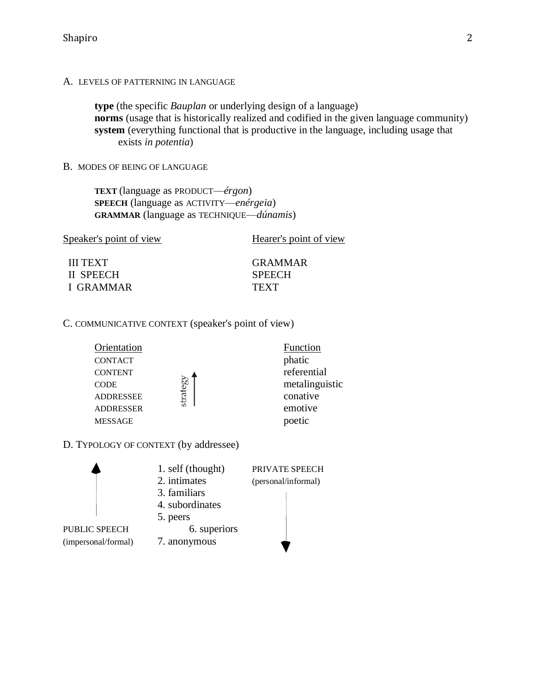### A. LEVELS OF PATTERNING IN LANGUAGE

**type** (the specific *Bauplan* or underlying design of a language) **norms** (usage that is historically realized and codified in the given language community) **system** (everything functional that is productive in the language, including usage that exists *in potentia*)

B. MODES OF BEING OF LANGUAGE

**TEXT** (language as PRODUCT––*érgon*) **SPEECH** (language as ACTIVITY––*enérgeia*) **GRAMMAR** (language as TECHNIQUE––*dúnamis*)

| Speaker's point of view | Hearer's point of view |
|-------------------------|------------------------|
| <b>III TEXT</b>         | <b>GRAMMAR</b>         |
| II SPEECH               | <b>SPEECH</b>          |
| I GRAMMAR               | <b>TEXT</b>            |

## C. COMMUNICATIVE CONTEXT (speaker's point of view)

| Orientation      |       | Function       |
|------------------|-------|----------------|
| <b>CONTACT</b>   |       | phatic         |
| <b>CONTENT</b>   |       | referential    |
| <b>CODE</b>      | ategy | metalinguistic |
| <b>ADDRESSEE</b> |       | conative       |
| <b>ADDRESSER</b> |       | emotive        |
| <b>MESSAGE</b>   |       | poetic         |

### D. TYPOLOGY OF CONTEXT (by addressee)

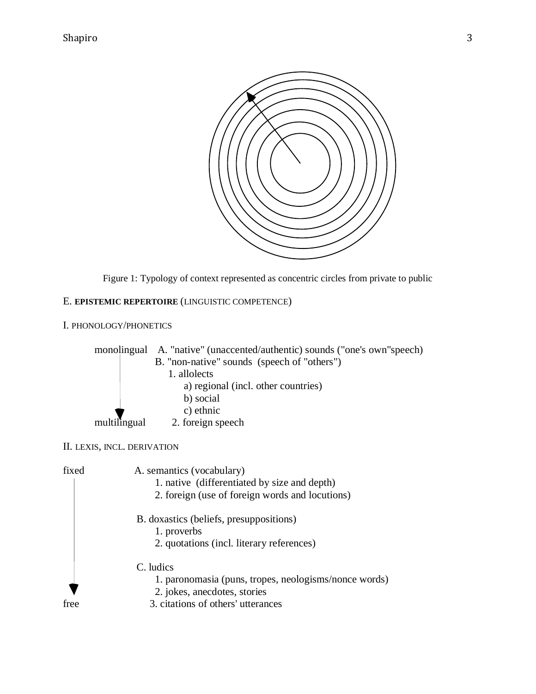

Figure 1: Typology of context represented as concentric circles from private to public

## E. **EPISTEMIC REPERTOIRE** (LINGUISTIC COMPETENCE)

### I. PHONOLOGY/PHONETICS



### II. LEXIS, INCL. DERIVATION

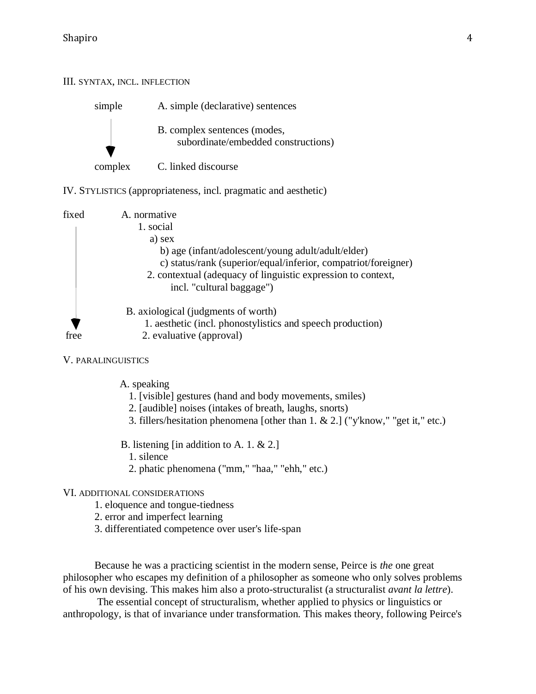### Shapiro 4

### III. SYNTAX, INCL. INFLECTION



IV. STYLISTICS (appropriateness, incl. pragmatic and aesthetic)

| fixed | A. normative                                                   |
|-------|----------------------------------------------------------------|
|       | 1. social                                                      |
|       | a) sex                                                         |
|       | b) age (infant/adolescent/young adult/adult/elder)             |
|       | c) status/rank (superior/equal/inferior, compatriot/foreigner) |
|       | 2. contextual (adequacy of linguistic expression to context,   |
|       | incl. "cultural baggage")                                      |
|       | B. axiological (judgments of worth)                            |
|       | 1. aesthetic (incl. phonostylistics and speech production)     |
| free  | 2. evaluative (approval)                                       |
|       |                                                                |

V. PARALINGUISTICS

A. speaking

- 1. [visible] gestures (hand and body movements, smiles)
- 2. [audible] noises (intakes of breath, laughs, snorts)
- 3. fillers/hesitation phenomena [other than 1. & 2.] ("y'know," "get it," etc.)

B. listening [in addition to A. 1. & 2.]

- 1. silence
- 2. phatic phenomena ("mm," "haa," "ehh," etc.)

#### VI. ADDITIONAL CONSIDERATIONS

- 1. eloquence and tongue-tiedness
- 2. error and imperfect learning
- 3. differentiated competence over user's life-span

 Because he was a practicing scientist in the modern sense, Peirce is *the* one great philosopher who escapes my definition of a philosopher as someone who only solves problems of his own devising. This makes him also a proto-structuralist (a structuralist *avant la lettre*).

 The essential concept of structuralism, whether applied to physics or linguistics or anthropology, is that of invariance under transformation. This makes theory, following Peirce's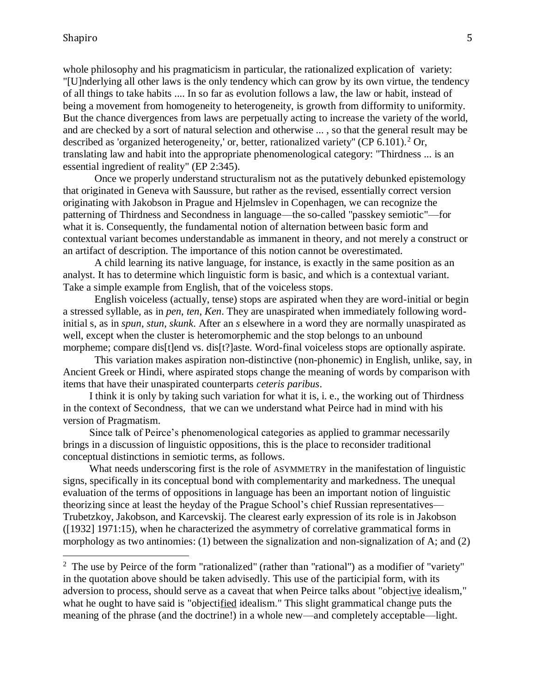$\overline{a}$ 

whole philosophy and his pragmaticism in particular, the rationalized explication of variety: "[U]nderlying all other laws is the only tendency which can grow by its own virtue, the tendency of all things to take habits .... In so far as evolution follows a law, the law or habit, instead of being a movement from homogeneity to heterogeneity, is growth from difformity to uniformity. But the chance divergences from laws are perpetually acting to increase the variety of the world, and are checked by a sort of natural selection and otherwise ... , so that the general result may be described as 'organized heterogeneity,' or, better, rationalized variety'' (CP 6.101).<sup>2</sup> Or, translating law and habit into the appropriate phenomenological category: "Thirdness ... is an essential ingredient of reality" (EP 2:345).

 Once we properly understand structuralism not as the putatively debunked epistemology that originated in Geneva with Saussure, but rather as the revised, essentially correct version originating with Jakobson in Prague and Hjelmslev in Copenhagen, we can recognize the patterning of Thirdness and Secondness in language––the so-called "passkey semiotic"––for what it is. Consequently, the fundamental notion of alternation between basic form and contextual variant becomes understandable as immanent in theory, and not merely a construct or an artifact of description. The importance of this notion cannot be overestimated.

 A child learning its native language, for instance, is exactly in the same position as an analyst. It has to determine which linguistic form is basic, and which is a contextual variant. Take a simple example from English, that of the voiceless stops.

 English voiceless (actually, tense) stops are aspirated when they are word-initial or begin a stressed syllable, as in *pen*, *ten*, *Ken*. They are unaspirated when immediately following wordinitial s, as in *spun*, *stun*, *skunk*. After an *s* elsewhere in a word they are normally unaspirated as well, except when the cluster is heteromorphemic and the stop belongs to an unbound morpheme; compare dis[t]end vs. dis[t?]aste. Word-final voiceless stops are optionally aspirate.

 This variation makes aspiration non-distinctive (non-phonemic) in English, unlike, say, in Ancient Greek or Hindi, where aspirated stops change the meaning of words by comparison with items that have their unaspirated counterparts *ceteris paribus*.

I think it is only by taking such variation for what it is, i. e., the working out of Thirdness in the context of Secondness, that we can we understand what Peirce had in mind with his version of Pragmatism.

Since talk of Peirce's phenomenological categories as applied to grammar necessarily brings in a discussion of linguistic oppositions, this is the place to reconsider traditional conceptual distinctions in semiotic terms, as follows.

What needs underscoring first is the role of ASYMMETRY in the manifestation of linguistic signs, specifically in its conceptual bond with complementarity and markedness. The unequal evaluation of the terms of oppositions in language has been an important notion of linguistic theorizing since at least the heyday of the Prague School's chief Russian representatives–– Trubetzkoy, Jakobson, and Karcevskij. The clearest early expression of its role is in Jakobson ([1932] 1971:15), when he characterized the asymmetry of correlative grammatical forms in morphology as two antinomies: (1) between the signalization and non-signalization of A; and (2)

<sup>&</sup>lt;sup>2</sup> The use by Peirce of the form "rationalized" (rather than "rational") as a modifier of "variety" in the quotation above should be taken advisedly. This use of the participial form, with its adversion to process, should serve as a caveat that when Peirce talks about "objective idealism," what he ought to have said is "objectified idealism." This slight grammatical change puts the meaning of the phrase (and the doctrine!) in a whole new––and completely acceptable––light.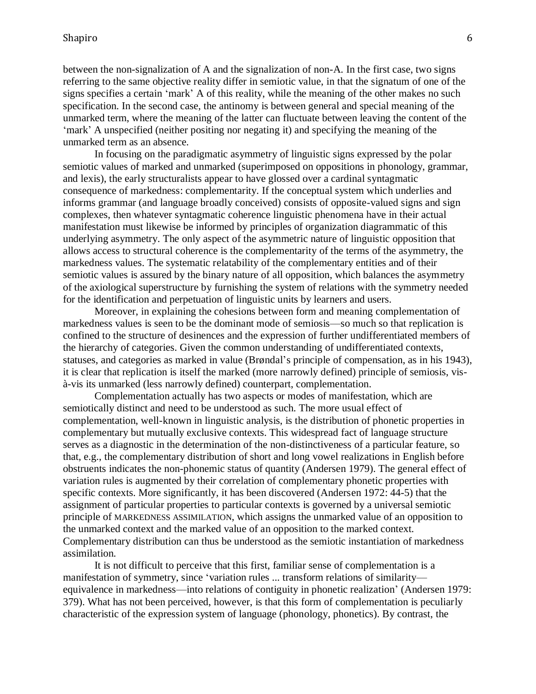between the non-signalization of A and the signalization of non-A. In the first case, two signs referring to the same objective reality differ in semiotic value, in that the signatum of one of the signs specifies a certain 'mark' A of this reality, while the meaning of the other makes no such specification. In the second case, the antinomy is between general and special meaning of the unmarked term, where the meaning of the latter can fluctuate between leaving the content of the 'mark' A unspecified (neither positing nor negating it) and specifying the meaning of the unmarked term as an absence.

In focusing on the paradigmatic asymmetry of linguistic signs expressed by the polar semiotic values of marked and unmarked (superimposed on oppositions in phonology, grammar, and lexis), the early structuralists appear to have glossed over a cardinal syntagmatic consequence of markedness: complementarity. If the conceptual system which underlies and informs grammar (and language broadly conceived) consists of opposite-valued signs and sign complexes, then whatever syntagmatic coherence linguistic phenomena have in their actual manifestation must likewise be informed by principles of organization diagrammatic of this underlying asymmetry. The only aspect of the asymmetric nature of linguistic opposition that allows access to structural coherence is the complementarity of the terms of the asymmetry, the markedness values. The systematic relatability of the complementary entities and of their semiotic values is assured by the binary nature of all opposition, which balances the asymmetry of the axiological superstructure by furnishing the system of relations with the symmetry needed for the identification and perpetuation of linguistic units by learners and users.

Moreover, in explaining the cohesions between form and meaning complementation of markedness values is seen to be the dominant mode of semiosis––so much so that replication is confined to the structure of desinences and the expression of further undifferentiated members of the hierarchy of categories. Given the common understanding of undifferentiated contexts, statuses, and categories as marked in value (Brøndal's principle of compensation, as in his 1943), it is clear that replication is itself the marked (more narrowly defined) principle of semiosis, visà-vis its unmarked (less narrowly defined) counterpart, complementation.

Complementation actually has two aspects or modes of manifestation, which are semiotically distinct and need to be understood as such. The more usual effect of complementation, well-known in linguistic analysis, is the distribution of phonetic properties in complementary but mutually exclusive contexts. This widespread fact of language structure serves as a diagnostic in the determination of the non-distinctiveness of a particular feature, so that, e.g., the complementary distribution of short and long vowel realizations in English before obstruents indicates the non-phonemic status of quantity (Andersen 1979). The general effect of variation rules is augmented by their correlation of complementary phonetic properties with specific contexts. More significantly, it has been discovered (Andersen 1972: 44-5) that the assignment of particular properties to particular contexts is governed by a universal semiotic principle of MARKEDNESS ASSIMILATION, which assigns the unmarked value of an opposition to the unmarked context and the marked value of an opposition to the marked context. Complementary distribution can thus be understood as the semiotic instantiation of markedness assimilation.

It is not difficult to perceive that this first, familiar sense of complementation is a manifestation of symmetry, since 'variation rules ... transform relations of similarityequivalence in markedness––into relations of contiguity in phonetic realization' (Andersen 1979: 379). What has not been perceived, however, is that this form of complementation is peculiarly characteristic of the expression system of language (phonology, phonetics). By contrast, the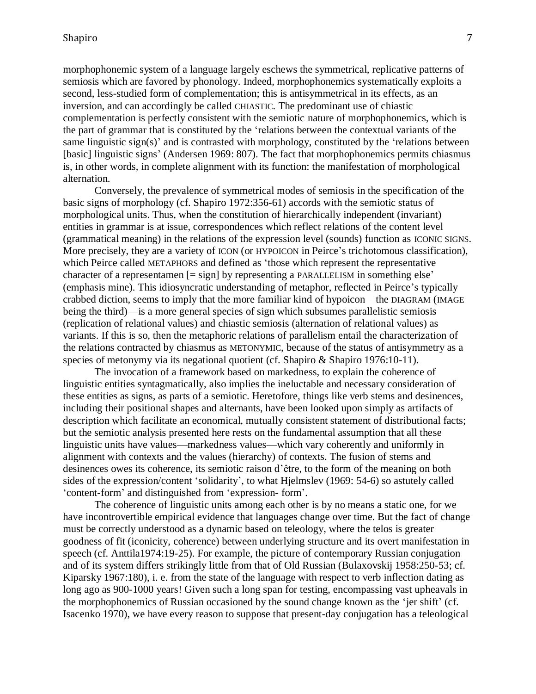morphophonemic system of a language largely eschews the symmetrical, replicative patterns of semiosis which are favored by phonology. Indeed, morphophonemics systematically exploits a second, less-studied form of complementation; this is antisymmetrical in its effects, as an inversion, and can accordingly be called CHIASTIC. The predominant use of chiastic complementation is perfectly consistent with the semiotic nature of morphophonemics, which is the part of grammar that is constituted by the 'relations between the contextual variants of the same linguistic sign(s)' and is contrasted with morphology, constituted by the 'relations between [basic] linguistic signs' (Andersen 1969: 807). The fact that morphophonemics permits chiasmus is, in other words, in complete alignment with its function: the manifestation of morphological alternation.

Conversely, the prevalence of symmetrical modes of semiosis in the specification of the basic signs of morphology (cf. Shapiro 1972:356-61) accords with the semiotic status of morphological units. Thus, when the constitution of hierarchically independent (invariant) entities in grammar is at issue, correspondences which reflect relations of the content level (grammatical meaning) in the relations of the expression level (sounds) function as ICONIC SIGNS. More precisely, they are a variety of ICON (or HYPOICON in Peirce's trichotomous classification), which Peirce called METAPHORS and defined as 'those which represent the representative character of a representamen [= sign] by representing a PARALLELISM in something else' (emphasis mine). This idiosyncratic understanding of metaphor, reflected in Peirce's typically crabbed diction, seems to imply that the more familiar kind of hypoicon––the DIAGRAM (IMAGE being the third)––is a more general species of sign which subsumes parallelistic semiosis (replication of relational values) and chiastic semiosis (alternation of relational values) as variants. If this is so, then the metaphoric relations of parallelism entail the characterization of the relations contracted by chiasmus as METONYMIC, because of the status of antisymmetry as a species of metonymy via its negational quotient (cf. Shapiro & Shapiro 1976:10-11).

The invocation of a framework based on markedness, to explain the coherence of linguistic entities syntagmatically, also implies the ineluctable and necessary consideration of these entities as signs, as parts of a semiotic. Heretofore, things like verb stems and desinences, including their positional shapes and alternants, have been looked upon simply as artifacts of description which facilitate an economical, mutually consistent statement of distributional facts; but the semiotic analysis presented here rests on the fundamental assumption that all these linguistic units have values––markedness values––which vary coherently and uniformly in alignment with contexts and the values (hierarchy) of contexts. The fusion of stems and desinences owes its coherence, its semiotic raison d'être, to the form of the meaning on both sides of the expression/content 'solidarity', to what Hjelmslev (1969: 54-6) so astutely called 'content-form' and distinguished from 'expression- form'.

The coherence of linguistic units among each other is by no means a static one, for we have incontrovertible empirical evidence that languages change over time. But the fact of change must be correctly understood as a dynamic based on teleology, where the telos is greater goodness of fit (iconicity, coherence) between underlying structure and its overt manifestation in speech (cf. Anttila1974:19-25). For example, the picture of contemporary Russian conjugation and of its system differs strikingly little from that of Old Russian (Bulaxovskij 1958:250-53; cf. Kiparsky 1967:180), i. e. from the state of the language with respect to verb inflection dating as long ago as 900-1000 years! Given such a long span for testing, encompassing vast upheavals in the morphophonemics of Russian occasioned by the sound change known as the 'jer shift' (cf. Isacenko 1970), we have every reason to suppose that present-day conjugation has a teleological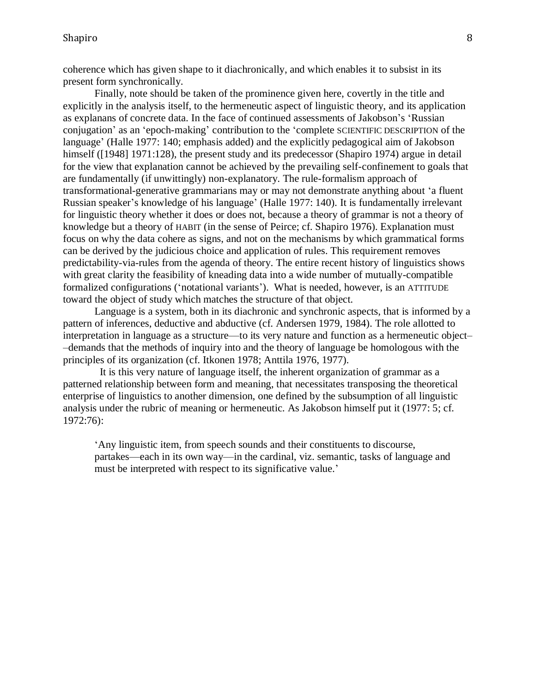coherence which has given shape to it diachronically, and which enables it to subsist in its present form synchronically.

Finally, note should be taken of the prominence given here, covertly in the title and explicitly in the analysis itself, to the hermeneutic aspect of linguistic theory, and its application as explanans of concrete data. In the face of continued assessments of Jakobson's 'Russian conjugation' as an 'epoch-making' contribution to the 'complete SCIENTIFIC DESCRIPTION of the language' (Halle 1977: 140; emphasis added) and the explicitly pedagogical aim of Jakobson himself ([1948] 1971:128), the present study and its predecessor (Shapiro 1974) argue in detail for the view that explanation cannot be achieved by the prevailing self-confinement to goals that are fundamentally (if unwittingly) non-explanatory. The rule-formalism approach of transformational-generative grammarians may or may not demonstrate anything about 'a fluent Russian speaker's knowledge of his language' (Halle 1977: 140). It is fundamentally irrelevant for linguistic theory whether it does or does not, because a theory of grammar is not a theory of knowledge but a theory of HABIT (in the sense of Peirce; cf. Shapiro 1976). Explanation must focus on why the data cohere as signs, and not on the mechanisms by which grammatical forms can be derived by the judicious choice and application of rules. This requirement removes predictability-via-rules from the agenda of theory. The entire recent history of linguistics shows with great clarity the feasibility of kneading data into a wide number of mutually-compatible formalized configurations ('notational variants'). What is needed, however, is an ATTITUDE toward the object of study which matches the structure of that object.

Language is a system, both in its diachronic and synchronic aspects, that is informed by a pattern of inferences, deductive and abductive (cf. Andersen 1979, 1984). The role allotted to interpretation in language as a structure––to its very nature and function as a hermeneutic object– –demands that the methods of inquiry into and the theory of language be homologous with the principles of its organization (cf. Itkonen 1978; Anttila 1976, 1977).

It is this very nature of language itself, the inherent organization of grammar as a patterned relationship between form and meaning, that necessitates transposing the theoretical enterprise of linguistics to another dimension, one defined by the subsumption of all linguistic analysis under the rubric of meaning or hermeneutic. As Jakobson himself put it (1977: 5; cf. 1972:76):

'Any linguistic item, from speech sounds and their constituents to discourse, partakes—each in its own way––in the cardinal, viz. semantic, tasks of language and must be interpreted with respect to its significative value.'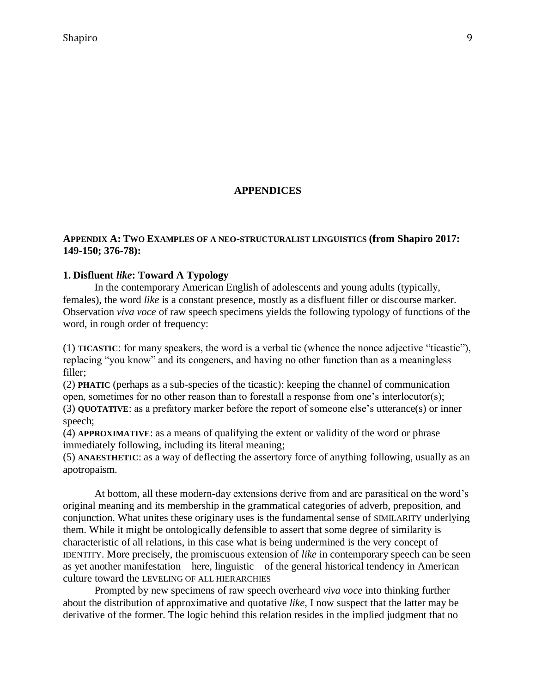#### **APPENDICES**

#### **APPENDIX A: TWO EXAMPLES OF A NEO-STRUCTURALIST LINGUISTICS (from Shapiro 2017: 149-150; 376-78):**

#### **1. Disfluent** *like***: Toward A Typology**

In the contemporary American English of adolescents and young adults (typically, females), the word *like* is a constant presence, mostly as a disfluent filler or discourse marker. Observation *viva voce* of raw speech specimens yields the following typology of functions of the word, in rough order of frequency:

(1) **TICASTIC**: for many speakers, the word is a verbal tic (whence the nonce adjective "ticastic"), replacing "you know" and its congeners, and having no other function than as a meaningless filler;

(2) **PHATIC** (perhaps as a sub-species of the ticastic): keeping the channel of communication open, sometimes for no other reason than to forestall a response from one's interlocutor(s); (3) **QUOTATIVE**: as a prefatory marker before the report of someone else's utterance(s) or inner speech;

(4) **APPROXIMATIVE**: as a means of qualifying the extent or validity of the word or phrase immediately following, including its literal meaning;

(5) **ANAESTHETIC**: as a way of deflecting the assertory force of anything following, usually as an apotropaism.

At bottom, all these modern-day extensions derive from and are parasitical on the word's original meaning and its membership in the grammatical categories of adverb, preposition, and conjunction. What unites these originary uses is the fundamental sense of SIMILARITY underlying them. While it might be ontologically defensible to assert that some degree of similarity is characteristic of all relations, in this case what is being undermined is the very concept of IDENTITY. More precisely, the promiscuous extension of *like* in contemporary speech can be seen as yet another manifestation––here, linguistic––of the general historical tendency in American culture toward the LEVELING OF ALL HIERARCHIES

Prompted by new specimens of raw speech overheard *viva voce* into thinking further about the distribution of approximative and quotative *like*, I now suspect that the latter may be derivative of the former. The logic behind this relation resides in the implied judgment that no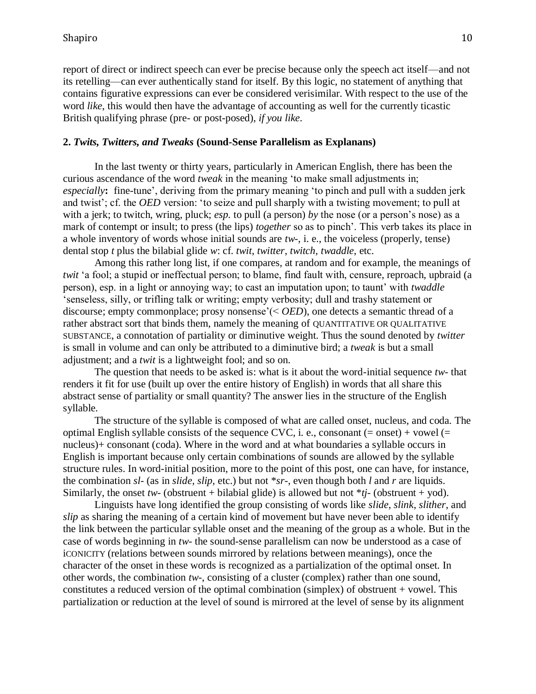report of direct or indirect speech can ever be precise because only the speech act itself––and not its retelling––can ever authentically stand for itself. By this logic, no statement of anything that contains figurative expressions can ever be considered verisimilar. With respect to the use of the word *like*, this would then have the advantage of accounting as well for the currently ticastic British qualifying phrase (pre- or post-posed), *if you like*.

#### **2.** *Twits, Twitters, and Tweaks* **(Sound-Sense Parallelism as Explanans)**

In the last twenty or thirty years, particularly in American English, there has been the curious ascendance of the word *tweak* in the meaning 'to make small adjustments in; *especially***:** fine-tune', deriving from the primary meaning 'to pinch and pull with a sudden jerk and twist'; cf. the *OED* version: 'to seize and pull sharply with a twisting movement; to pull at with a jerk; to twitch, wring, pluck; *esp.* to pull (a person) *by* the nose (or a person's nose) as a mark of contempt or insult; to press (the lips) *together* so as to pinch'. This verb takes its place in a whole inventory of words whose initial sounds are *tw-*, i. e., the voiceless (properly, tense) [dental](http://languagelore.net/?glossary=dental) stop *t* plus the bilabial glide *w*: cf. *twit*, *twitter*, *twitch*, *twaddle*, etc.

Among this rather long list, if one compares, at random and for example, the meanings of *twit* 'a fool; a stupid or ineffectual person; to blame, find fault with, censure, reproach, upbraid (a person), esp. in a light or annoying way; to cast an imputation upon; to taunt' with *twaddle* 'senseless, silly, or trifling talk or writing; empty verbosity; dull and trashy statement or discourse; empty commonplace; prosy nonsense'(< *OED*), one detects a semantic thread of a rather abstract sort that binds them, namely the meaning of QUANTITATIVE OR QUALITATIVE SUBSTANCE, a connotation of partiality or diminutive weight. Thus the sound denoted by *twitter* is small in volume and can only be attributed to a diminutive bird; a *tweak* is but a small adjustment; and a *twit* is a lightweight fool; and so on.

The question that needs to be asked is: what is it about the word-initial sequence *tw-* that renders it fit for use (built up over the entire history of English) in words that all share this abstract sense of partiality or small quantity? The answer lies in the structure of the English syllable.

The structure of the syllable is composed of what are called onset, nucleus, and coda. The optimal English syllable consists of the sequence CVC, i. e., consonant  $(=$  onset) + vowel  $(=$ nucleus)+ consonant (coda). Where in the word and at what boundaries a syllable occurs in English is important because only certain combinations of sounds are allowed by the syllable structure rules. In word-initial position, more to the point of this post, one can have, for instance, the combination *sl-* (as in *slide, slip,* etc.) but not \**sr-*, even though both *l* and *r* are liquids. Similarly, the onset *tw*- (obstruent + bilabial glide) is allowed but not  $*ti$ - (obstruent + yod).

Linguists have long identified the group consisting of words like *slide*, *slink*, *slither*, and *slip* as sharing the meaning of a certain kind of movement but have never been able to identify the link between the particular syllable onset and the meaning of the group as a whole. But in the case of words beginning in *tw*- the sound-sense parallelism can now be understood as a case of iCONICITY (relations between sounds mirrored by relations between meanings), once the character of the onset in these words is recognized as a partialization of the optimal onset. In other words, the combination  $tw$ -, consisting of a cluster (complex) rather than one sound, constitutes a reduced version of the optimal combination (simplex) of obstruent + vowel. This partialization or reduction at the level of sound is mirrored at the level of sense by its alignment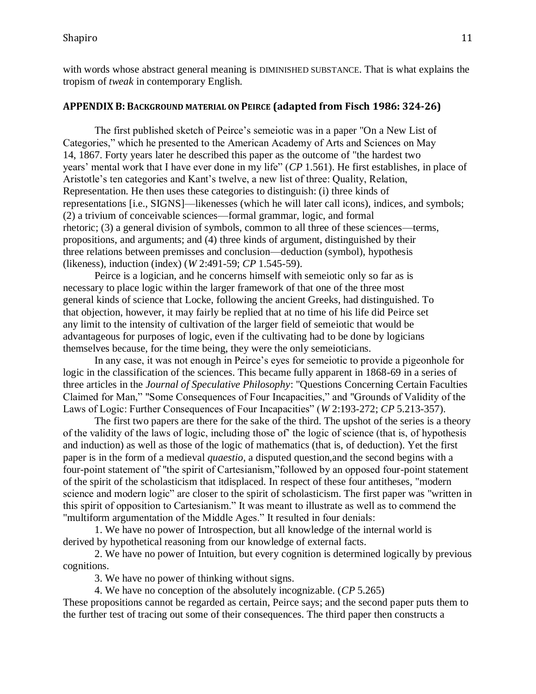with words whose abstract general meaning is DIMINISHED SUBSTANCE. That is what explains the tropism of *tweak* in contemporary English.

### **APPENDIX B: BACKGROUND MATERIAL ON PEIRCE (adapted from Fisch 1986: 324-26)**

The first published sketch of Peirce's semeiotic was in a paper "On a New List of Categories," which he presented to the American Academy of Arts and Sciences on May 14, 1867. Forty years later he described this paper as the outcome of "the hardest two years' mental work that I have ever done in my life" (*CP* 1.561). He first establishes, in place of Aristotle's ten categories and Kant's twelve, a new list of three: Quality, Relation, Representation. He then uses these categories to distinguish: (i) three kinds of representations [i.e., SIGNS]––likenesses (which he will later call icons), indices, and symbols; (2) a trivium of conceivable sciences—formal grammar, logic, and formal rhetoric; (3) a general division of symbols, common to all three of these sciences—terms, propositions, and arguments; and (4) three kinds of argument, distinguished by their three relations between premisses and conclusion—deduction (symbol), hypothesis (likeness), induction (index) (*W* 2:491-59; *CP* 1.545-59).

Peirce is a logician, and he concerns himself with semeiotic only so far as is necessary to place logic within the larger framework of that one of the three most general kinds of science that Locke, following the ancient Greeks, had distinguished. To that objection, however, it may fairly be replied that at no time of his life did Peirce set any limit to the intensity of cultivation of the larger field of semeiotic that would be advantageous for purposes of logic, even if the cultivating had to be done by logicians themselves because, for the time being, they were the only semeioticians.

In any case, it was not enough in Peirce's eyes for semeiotic to provide a pigeonhole for logic in the classification of the sciences. This became fully apparent in 1868-69 in a series of three articles in the *Journal of Speculative Philosophy*: "Questions Concerning Certain Faculties Claimed for Man," "Some Consequences of Four Incapacities," and "Grounds of Validity of the Laws of Logic: Further Consequences of Four Incapacities" (*W* 2:193-272; *CP* 5.213-357).

The first two papers are there for the sake of the third. The upshot of the series is a theory of the validity of the laws of logic, including those of' the logic of science (that is, of hypothesis and induction) as well as those of the logic of mathematics (that is, of deduction). Yet the first paper is in the form of a medieval *quaestio*, a disputed question,and the second begins with a four-point statement of "the spirit of Cartesianism,"followed by an opposed four-point statement of the spirit of the scholasticism that itdisplaced. In respect of these four antitheses, "modern science and modern logic" are closer to the spirit of scholasticism. The first paper was "written in this spirit of opposition to Cartesianism." It was meant to illustrate as well as to commend the "multiform argumentation of the Middle Ages." It resulted in four denials:

1. We have no power of Introspection, but all knowledge of the internal world is derived by hypothetical reasoning from our knowledge of external facts.

2. We have no power of Intuition, but every cognition is determined logically by previous cognitions.

3. We have no power of thinking without signs.

4. We have no conception of the absolutely incognizable. (*CP* 5.265)

These propositions cannot be regarded as certain, Peirce says; and the second paper puts them to the further test of tracing out some of their consequences. The third paper then constructs a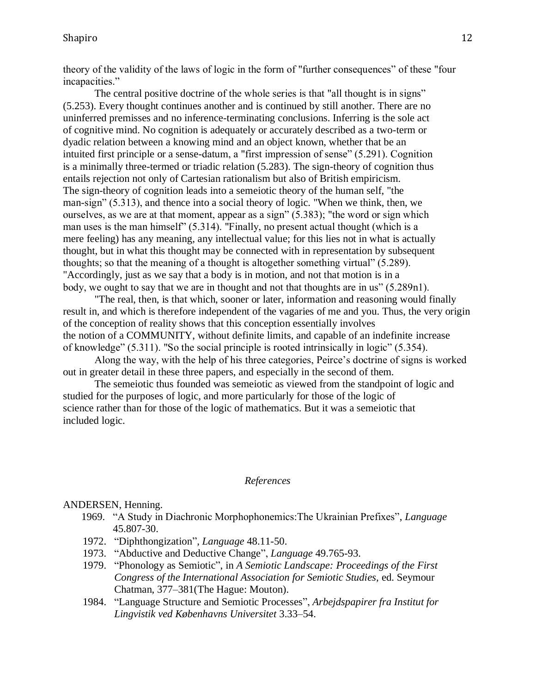theory of the validity of the laws of logic in the form of "further consequences" of these "four incapacities."

The central positive doctrine of the whole series is that "all thought is in signs" (5.253). Every thought continues another and is continued by still another. There are no uninferred premisses and no inference-terminating conclusions. Inferring is the sole act of cognitive mind. No cognition is adequately or accurately described as a two-term or dyadic relation between a knowing mind and an object known, whether that be an intuited first principle or a sense-datum, a "first impression of sense" (5.291). Cognition is a minimally three-termed or triadic relation (5.283). The sign-theory of cognition thus entails rejection not only of Cartesian rationalism but also of British empiricism. The sign-theory of cognition leads into a semeiotic theory of the human self, "the man-sign" (5.313), and thence into a social theory of logic. "When we think, then, we ourselves, as we are at that moment, appear as a sign" (5.383); "the word or sign which man uses is the man himself" (5.314). "Finally, no present actual thought (which is a mere feeling) has any meaning, any intellectual value; for this lies not in what is actually thought, but in what this thought may be connected with in representation by subsequent thoughts; so that the meaning of a thought is altogether something virtual" (5.289). "Accordingly, just as we say that a body is in motion, and not that motion is in a body, we ought to say that we are in thought and not that thoughts are in us" (5.289n1).

"The real, then, is that which, sooner or later, information and reasoning would finally result in, and which is therefore independent of the vagaries of me and you. Thus, the very origin of the conception of reality shows that this conception essentially involves the notion of a COMMUNITY, without definite limits, and capable of an indefinite increase of knowledge" (5.311). "So the social principle is rooted intrinsically in logic" (5.354).

Along the way, with the help of his three categories, Peirce's doctrine of signs is worked out in greater detail in these three papers, and especially in the second of them.

The semeiotic thus founded was semeiotic as viewed from the standpoint of logic and studied for the purposes of logic, and more particularly for those of the logic of science rather than for those of the logic of mathematics. But it was a semeiotic that included logic.

#### *References*

#### ANDERSEN, Henning.

- 1969. "A Study in Diachronic Morphophonemics:The Ukrainian Prefixes", *Language* 45.807-30.
- 1972. "Diphthongization", *Language* 48.11-50.
- 1973. "Abductive and Deductive Change", *Language* 49.765-93.
- 1979. "Phonology as Semiotic", in *A Semiotic Landscape: Proceedings of the First Congress of the International Association for Semiotic Studies,* ed. Seymour Chatman, 377–381(The Hague: Mouton).
- 1984. "Language Structure and Semiotic Processes", *Arbejdspapirer fra Institut for Lingvistik ved Københavns Universitet* 3.33–54.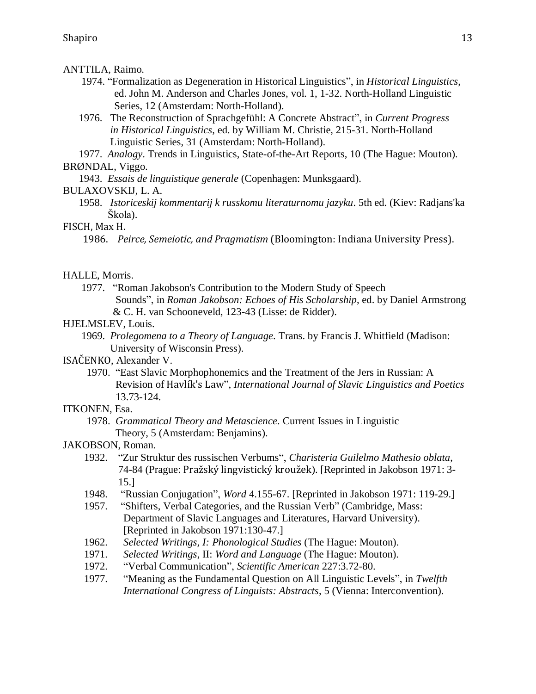# ANTTILA, Raimo.

- 1974. "Formalization as Degeneration in Historical Linguistics", in *Historical Linguistics*, ed. John M. Anderson and Charles Jones, vol. 1, 1-32. North-Holland Linguistic Series, 12 (Amsterdam: North-Holland).
- 1976. The Reconstruction of Sprachgefühl: A Concrete Abstract", in *Current Progress in Historical Linguistics*, ed. by William M. Christie, 215-31. North-Holland Linguistic Series, 31 (Amsterdam: North-Holland).

 1977. *Analogy*. Trends in Linguistics, State-of-the-Art Reports, 10 (The Hague: Mouton). BRØNDAL, Viggo.

1943. *Essais de linguistique generale* (Copenhagen: Munksgaard).

## BULAXOVSKIJ, L. A.

 1958. *Istoriceskij kommentarij k russkomu literaturnomu jazyku*. 5th ed. (Kiev: Radjans'ka Škola).

## FISCH, Max H.

1986. *Peirce, Semeiotic, and Pragmatism* (Bloomington: Indiana University Press).

# HALLE, Morris.

 1977. "Roman Jakobson's Contribution to the Modern Study of Speech Sounds", in *Roman Jakobson: Echoes of His Scholarship*, ed. by Daniel Armstrong & C. H. van Schooneveld, 123-43 (Lisse: de Ridder).

# HJELMSLEV, Louis.

 1969. *Prolegomena to a Theory of Language*. Trans. by Francis J. Whitfield (Madison: University of Wisconsin Press).

## ISAČENKO, Alexander V.

 1970. "East Slavic Morphophonemics and the Treatment of the Jers in Russian: A Revision of Havlík's Law", *International Journal of Slavic Linguistics and Poetics* 13.73-124.

## ITKONEN, Esa.

 1978. *Grammatical Theory and Metascience*. Current Issues in Linguistic Theory, 5 (Amsterdam: Benjamins).

## JAKOBSON, Roman.

- 1932. "Zur Struktur des russischen Verbums", *Charisteria Guilelmo Mathesio oblata*, 74-84 (Prague: Pražský lingvistický kroužek). [Reprinted in Jakobson 1971: 3- 15.]
- 1948. "Russian Conjugation", *Word* 4.155-67. [Reprinted in Jakobson 1971: 119-29.]
- 1957. "Shifters, Verbal Categories, and the Russian Verb" (Cambridge, Mass: Department of Slavic Languages and Literatures, Harvard University). [Reprinted in Jakobson 1971:130-47.]
- 1962. *Selected Writings, I: Phonological Studies* (The Hague: Mouton).
- 1971. *Selected Writings*, II: *Word and Language* (The Hague: Mouton).
- 1972. "Verbal Communication", *Scientific American* 227:3.72-80.
- 1977. "Meaning as the Fundamental Question on All Linguistic Levels", in *Twelfth International Congress of Linguists: Abstracts*, 5 (Vienna: Interconvention).